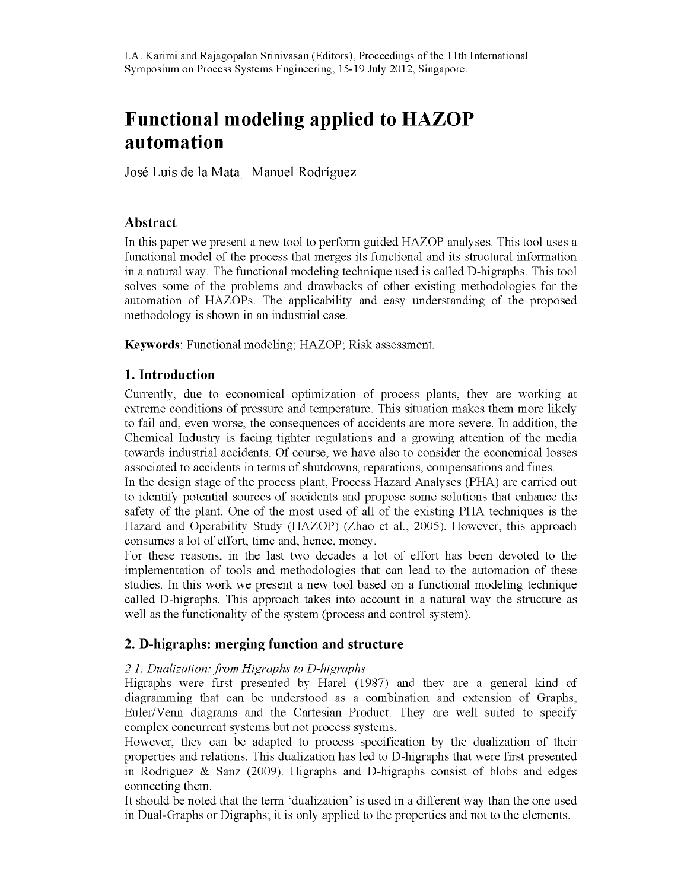# **Functional modeling applied to HAZOP automation**

José Luis de la Mata Manuel Rodriguez

# Abstract

In this paper we present a new tool to perform guided HAZOP analyses. This tool uses a functional model of the process that merges its functional and its structural information in a natural way. The functional modeling technique used is called D-higraphs. This tool solves some of the problems and drawbacks of other existing methodologies for the automation of HAZOPs. The applicability and easy understanding of the proposed methodology is shown in an industrial case.

**Keywords:** Functional modeling; HAZOP; Risk assessment.

# **1. Introduction**

Currently, due to economical optimization of process plants, they are working at extreme conditions of pressure and temperature. This situation makes them more likely to fail and, even worse, the consequences of accidents are more severe. In addition, the Chemical Industry is facing tighter regulations and a growing attention of the media towards industrial accidents. Of course, we have also to consider the economical losses associated to accidents in terms of shutdowns, reparations, compensations and fines.

In the design stage of the process plant, Process Hazard Analyses (PHA) are carried out to identify potential sources of accidents and propose some solutions that enhance the safety of the plant. One of the most used of all of the existing PHA techniques is the Hazard and Operability Study (HAZOP) (Zhao et al, 2005). However, this approach consumes a lot of effort, time and, hence, money.

For these reasons, in the last two decades a lot of effort has been devoted to the implementation of tools and methodologies that can lead to the automation of these studies. In this work we present a new tool based on a functional modeling technique called D-higraphs. This approach takes into account in a natural way the structure as well as the functionality of the system (process and control system).

# **2. D-higraphs: merging function and structure**

# *2.1. Duahzation: from Higraphs to D-higraphs*

Higraphs were first presented by Harel (1987) and they are a general kind of diagramming that can be understood as a combination and extension of Graphs, Euler/Venn diagrams and the Cartesian Product. They are well suited to specify complex concurrent systems but not process systems.

However, they can be adapted to process specification by the duahzation of their properties and relations. This duahzation has led to D-higraphs that were first presented in Rodríguez & Sanz (2009). Higraphs and D-higraphs consist of blobs and edges connecting them.

It should be noted that the term 'duahzation' is used in a different way than the one used in Dual-Graphs or Digraphs; it is only applied to the properties and not to the elements.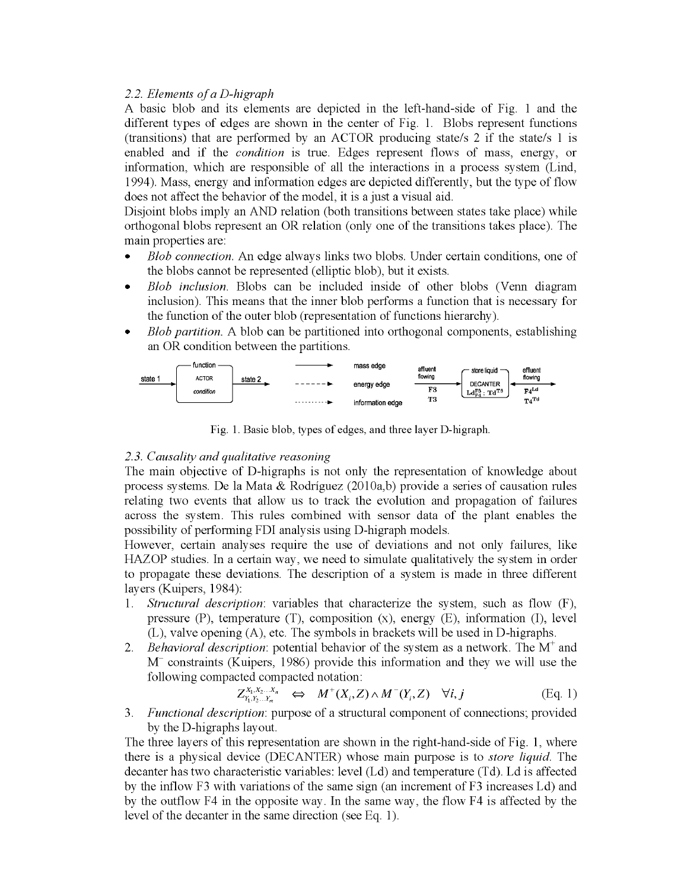## *2.2. Elements of a D-higraph*

A basic blob and its elements are depicted in the left-hand-side of Fig. 1 and the different types of edges are shown in the center of Fig. 1. Blobs represent functions (transitions) that are performed by an ACTOR producing state/s 2 if the state/s 1 is enabled and if the *condition* is true. Edges represent flows of mass, energy, or information, which are responsible of all the interactions in a process system (Lind, 1994). Mass, energy and information edges are depicted differently, but the type of flow does not affect the behavior of the model, it is a just a visual aid.

Disjoint blobs imply an AND relation (both transitions between states take place) while orthogonal blobs represent an OR relation (only one of the transitions takes place). The main properties are:

- *Blob connection*. An edge always links two blobs. Under certain conditions, one of the blobs cannot be represented (elliptic blob), but it exists.
- • *Blob inclusion.* Blobs can be included inside of other blobs (Venn diagram inclusion). This means that the inner blob performs a function that is necessary for the function of the outer blob (representation of functions hierarchy).
- • *Blob partition.* A blob can be partitioned into orthogonal components, establishing an OR condition between the partitions.



Fig. 1. Basic blob, types of edges, and three layer D-higraph.

# *2.3. Causality and qualitative reasoning*

The main objective of D-higraphs is not only the representation of knowledge about process systems. De la Mata & Rodríguez (2010a,b) provide a series of causation rules relating two events that allow us to track the evolution and propagation of failures across the system. This rules combined with sensor data of the plant enables the possibility of performing FDI analysis using D-higraph models.

However, certain analyses require the use of deviations and not only failures, like HAZOP studies. In a certain way, we need to simulate qualitatively the system in order to propagate these deviations. The description of a system is made in three different layers (Kuipers, 1984):

- 1. *Structural description:* variables that characterize the system, such as flow (F), pressure (P), temperature (T), composition (x), energy (E), information (I), level (L), valve opening (A), etc. The symbols in brackets will be used in D-higraphs.
- 2. *Behavioral description*: potential behavior of the system as a network. The M<sup>+</sup> and M~ constraints (Kuipers, 1986) provide this information and they we will use the following compacted compacted notation:

$$
Z_{Y_1, Y_2...Y_n}^{X_1, X_2...X_n} \Leftrightarrow M^+(X_i, Z) \wedge M^-(Y_i, Z) \quad \forall i, j \tag{Eq. 1}
$$

3. *Functional description:* purpose of a structural component of connections; provided by the D-higraphs layout.

The three layers of this representation are shown in the right-hand-side of Fig. 1, where there is a physical device (DECANTER) whose main purpose is to *store liquid.* The decanter has two characteristic variables: level (Ld) and temperature (Td). Ld is affected by the inflow F3 with variations of the same sign (an increment of F3 increases Ld) and by the outflow F4 in the opposite way. In the same way, the flow F4 is affected by the level of the decanter in the same direction (see Eq. 1).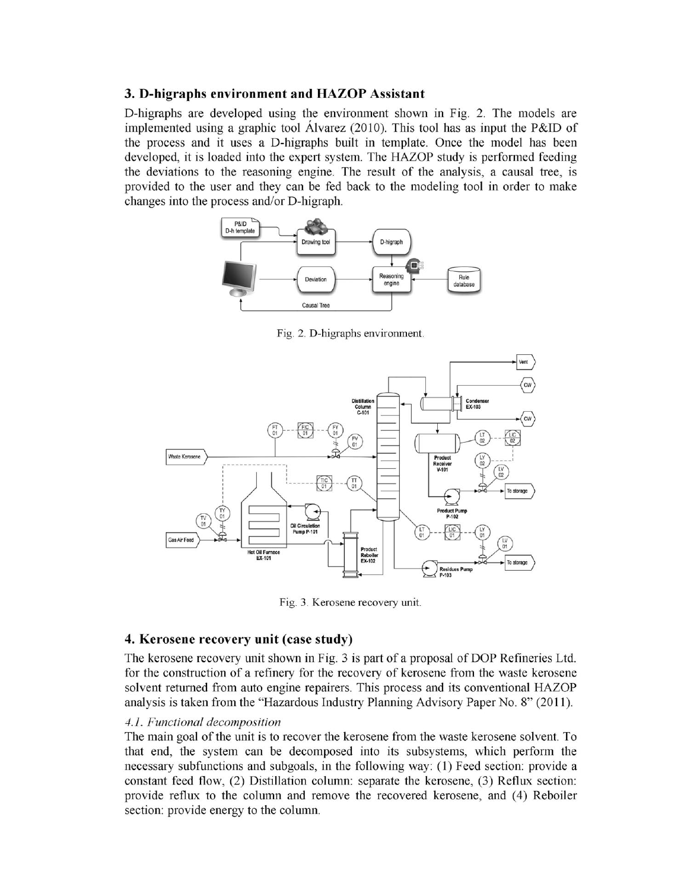# **3. D-higraphs environment and HAZOP Assistant**

D-higraphs are developed using the environment shown in Fig. 2. The models are implemented using a graphic tool Alvarez (2010). This tool has as input the P&ID of the process and it uses a D-higraphs built in template. Once the model has been developed, it is loaded into the expert system. The HAZOP study is performed feeding the deviations to the reasoning engine. The result of the analysis, a causal tree, is provided to the user and they can be fed back to the modeling tool in order to make changes into the process and/or D-higraph.



Fig. 2. D-higraphs environment.



Fig. 3. Kerosene recovery unit.

# **4. Kerosene recovery unit (case study)**

The kerosene recovery unit shown in Fig. 3 is part of a proposal of DOP Refineries Ltd. for the construction of a refinery for the recovery of kerosene from the waste kerosene solvent returned from auto engine repairers. This process and its conventional HAZOP analysis is taken from the "Hazardous Industry Planning Advisory Paper No. 8" (2011).

# *4.1. Functional decomposition*

The main goal of the unit is to recover the kerosene from the waste kerosene solvent. To that end, the system can be decomposed into its subsystems, which perform the necessary subfunctions and subgoals, in the following way: (1) Feed section: provide a constant feed flow, (2) Distillation column: separate the kerosene, (3) Reflux section: provide reflux to the column and remove the recovered kerosene, and (4) Reboiler section: provide energy to the column.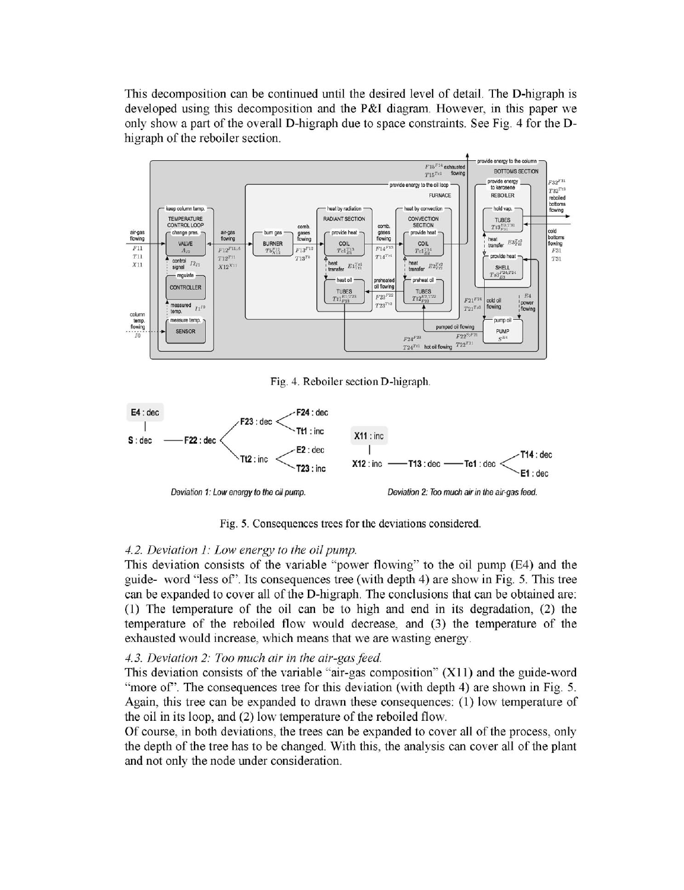This decomposition can be continued until the desired level of detail. The D-higraph is developed using this decomposition and the P&I diagram. However, in this paper we only show a part of the overall D-higraph due to space constraints. See Fig. 4 for the Dhigraph of the reboiler section.



Fig. 4. Reboiler section D-higraph.



Fig. 5. Consequences trees for the deviations considered.

#### *4.2. Deviation 1: Low energy to the oil pump.*

This deviation consists of the variable "power flowing" to the oil pump (E4) and the guide- word "less of". Its consequences tree (with depth 4) are show in Fig. 5. This tree can be expanded to cover all of the D-higraph. The conclusions that can be obtained are: (1) The temperature of the oil can be to high and end in its degradation, (2) the temperature of the reboiled flow would decrease, and (3) the temperature of the exhausted would increase, which means that we are wasting energy.

#### *4.3. Deviation 2: Too much air in the air-gas feed.*

This deviation consists of the variable "air-gas composition" (XI1) and the guide-word "more of. The consequences tree for this deviation (with depth 4) are shown in Fig. 5. Again, this tree can be expanded to drawn these consequences: (1) low temperature of the oil in its loop, and (2) low temperature of the reboiled flow.

Of course, in both deviations, the trees can be expanded to cover all of the process, only the depth of the tree has to be changed. With this, the analysis can cover all of the plant and not only the node under consideration.